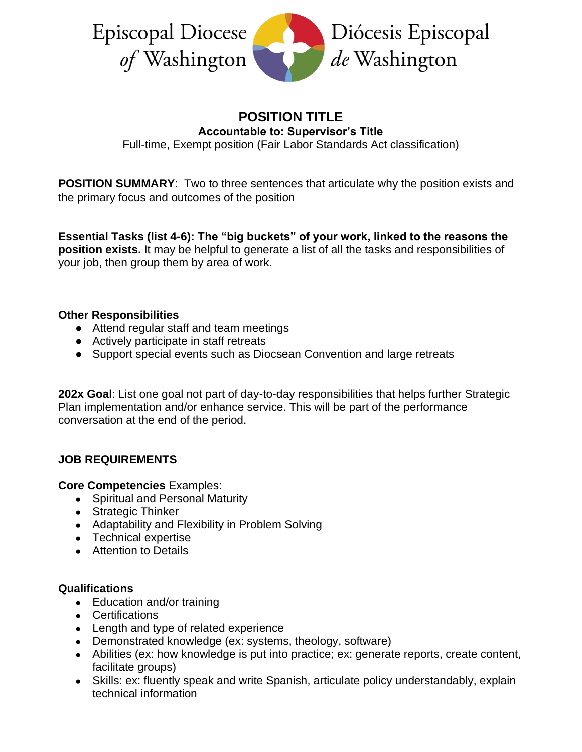

# **POSITION TITLE Accountable to: Supervisor's Title**

Full-time, Exempt position (Fair Labor Standards Act classification)

**POSITION SUMMARY:** Two to three sentences that articulate why the position exists and the primary focus and outcomes of the position

**Essential Tasks (list 4-6): The "big buckets" of your work, linked to the reasons the position exists.** It may be helpful to generate a list of all the tasks and responsibilities of your job, then group them by area of work.

### **Other Responsibilities**

- Attend regular staff and team meetings
- Actively participate in staff retreats
- Support special events such as Diocsean Convention and large retreats

**202x Goal**: List one goal not part of day-to-day responsibilities that helps further Strategic Plan implementation and/or enhance service. This will be part of the performance conversation at the end of the period.

## **JOB REQUIREMENTS**

**Core Competencies** Examples:

- Spiritual and Personal Maturity
- Strategic Thinker
- Adaptability and Flexibility in Problem Solving
- Technical expertise
- Attention to Details

#### **Qualifications**

- Education and/or training
- Certifications
- Length and type of related experience
- Demonstrated knowledge (ex: systems, theology, software)
- Abilities (ex: how knowledge is put into practice; ex: generate reports, create content, facilitate groups)
- Skills: ex: fluently speak and write Spanish, articulate policy understandably, explain technical information